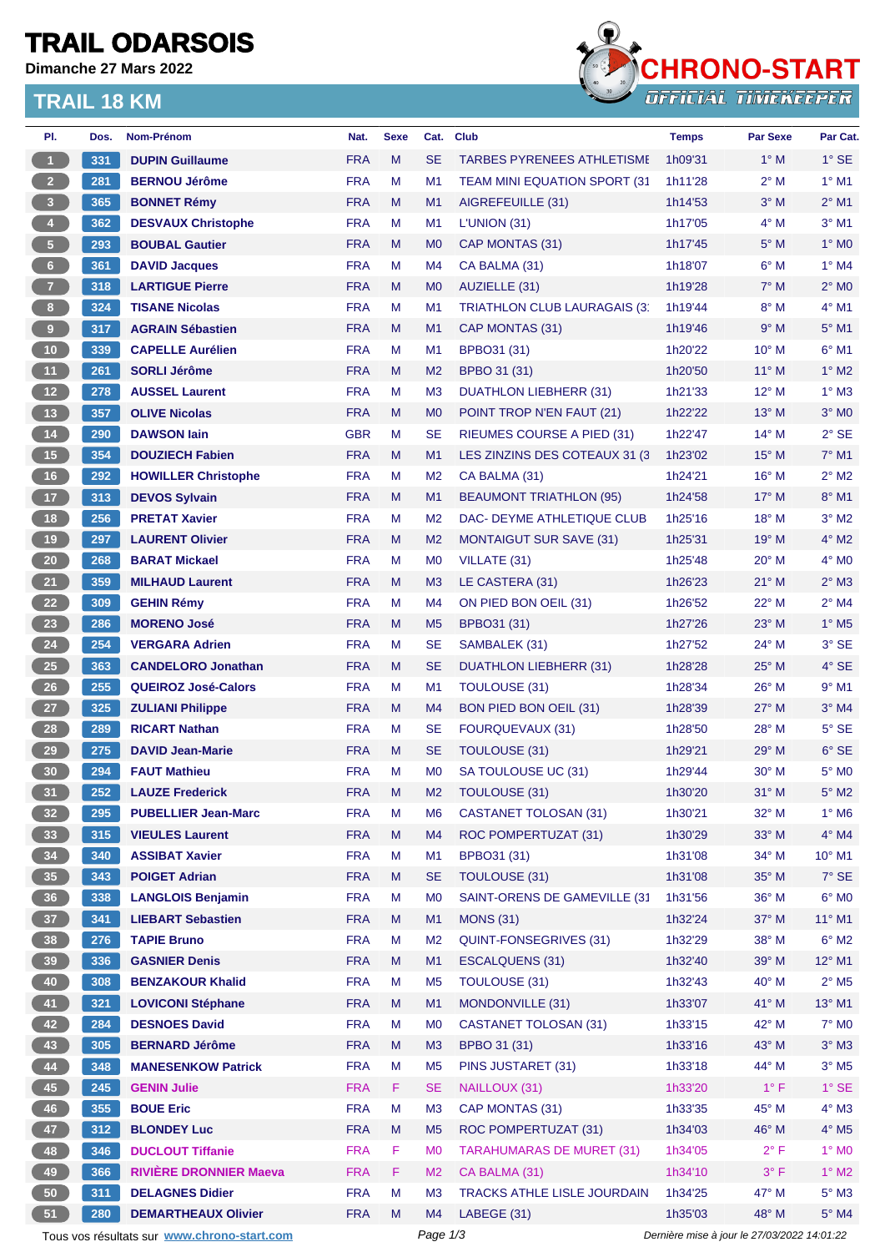### **TRAIL ODARSOIS**

**Dimanche 27 Mars 2022**

### **TRAIL 18 KM**



| PI.                     | Dos. | Nom-Prénom                                    | Nat.       | <b>Sexe</b> | Cat.                             | <b>Club</b>                                         | <b>Temps</b>       | <b>Par Sexe</b>                             | Par Cat.                   |
|-------------------------|------|-----------------------------------------------|------------|-------------|----------------------------------|-----------------------------------------------------|--------------------|---------------------------------------------|----------------------------|
| $\blacktriangleleft$    | 331  | <b>DUPIN Guillaume</b>                        | <b>FRA</b> | M           | <b>SE</b>                        | <b>TARBES PYRENEES ATHLETISME</b>                   | 1h09'31            | $1^\circ$ M                                 | $1^\circ$ SE               |
| 2 <sup>7</sup>          | 281  | <b>BERNOU Jérôme</b>                          | <b>FRA</b> | М           | M1                               | <b>TEAM MINI EQUATION SPORT (31)</b>                | 1h11'28            | $2^{\circ}$ M                               | $1^\circ$ M1               |
| $\overline{\mathbf{3}}$ | 365  | <b>BONNET Rémy</b>                            | <b>FRA</b> | M           | M1                               | AIGREFEUILLE (31)                                   | 1h14'53            | $3^\circ$ M                                 | $2^{\circ}$ M1             |
| $\overline{4}$          | 362  | <b>DESVAUX Christophe</b>                     | <b>FRA</b> | М           | M1                               | L'UNION (31)                                        | 1h17'05            | $4^\circ$ M                                 | $3°$ M1                    |
| 5 <sub>1</sub>          | 293  | <b>BOUBAL Gautier</b>                         | <b>FRA</b> | M           | M <sub>0</sub>                   | CAP MONTAS (31)                                     | 1h17'45            | $5^\circ$ M                                 | $1^\circ$ MO               |
| $6-$                    | 361  | <b>DAVID Jacques</b>                          | <b>FRA</b> | М           | M4                               | CA BALMA (31)                                       | 1h18'07            | $6^\circ$ M                                 | $1^\circ$ M4               |
| 7 <sup>7</sup>          | 318  | <b>LARTIGUE Pierre</b>                        | <b>FRA</b> | M           | M <sub>0</sub>                   | AUZIELLE (31)                                       | 1h19'28            | $7^\circ$ M                                 | $2^{\circ}$ MO             |
| 8                       | 324  | <b>TISANE Nicolas</b>                         | <b>FRA</b> | М           | M1                               | TRIATHLON CLUB LAURAGAIS (3)                        | 1h19'44            | $8^\circ$ M                                 | $4^\circ$ M1               |
| $\overline{9}$          | 317  | <b>AGRAIN Sébastien</b>                       | <b>FRA</b> | M           | M1                               | CAP MONTAS (31)                                     | 1h19'46            | 9° M                                        | $5^\circ$ M1               |
| 10                      | 339  | <b>CAPELLE Aurélien</b>                       | <b>FRA</b> | М           | M1                               | BPBO31 (31)                                         | 1h20'22            | $10^{\circ}$ M                              | $6^{\circ}$ M1             |
| 11                      | 261  | <b>SORLI Jérôme</b>                           | <b>FRA</b> | M           | M <sub>2</sub>                   | BPBO 31 (31)                                        | 1h20'50            | $11^{\circ}$ M                              | $1^\circ$ M2               |
| $12$                    | 278  | <b>AUSSEL Laurent</b>                         | <b>FRA</b> | М           | M <sub>3</sub>                   | DUATHLON LIEBHERR (31)                              | 1h21'33            | $12^{\circ}$ M                              | $1^\circ$ M3               |
| 13                      | 357  | <b>OLIVE Nicolas</b>                          | <b>FRA</b> | M           | M <sub>0</sub>                   | POINT TROP N'EN FAUT (21)                           | 1h22'22            | $13^\circ$ M                                | $3^\circ$ MO               |
| 14                      | 290  | <b>DAWSON lain</b>                            | <b>GBR</b> | Μ           | <b>SE</b>                        | RIEUMES COURSE A PIED (31)                          | 1h22'47            | $14^{\circ}$ M                              | $2°$ SE                    |
| $15$                    | 354  | <b>DOUZIECH Fabien</b>                        | <b>FRA</b> | M           | M <sub>1</sub>                   | LES ZINZINS DES COTEAUX 31 (3)                      | 1h23'02            | $15^{\circ}$ M                              | $7^\circ$ M1               |
| 16                      | 292  | <b>HOWILLER Christophe</b>                    | <b>FRA</b> | М           | M <sub>2</sub>                   | CA BALMA (31)                                       | 1h24'21            | $16^{\circ}$ M                              | $2^{\circ}$ M <sub>2</sub> |
| 17 <sup>2</sup>         | 313  | <b>DEVOS Sylvain</b>                          | <b>FRA</b> | M           | M1                               | <b>BEAUMONT TRIATHLON (95)</b>                      | 1h24'58            | $17^{\circ}$ M                              | 8° M1                      |
| 18                      | 256  | <b>PRETAT Xavier</b>                          | <b>FRA</b> | М           | M <sub>2</sub>                   | DAC- DEYME ATHLETIQUE CLUB                          | 1h25'16            | 18° M                                       | $3°$ M2                    |
| 19                      | 297  | <b>LAURENT Olivier</b>                        | <b>FRA</b> | M           | M <sub>2</sub>                   | <b>MONTAIGUT SUR SAVE (31)</b>                      | 1h25'31            | 19° M                                       | $4^\circ$ M2               |
| $20\,$                  | 268  | <b>BARAT Mickael</b>                          | <b>FRA</b> | М           | M <sub>0</sub>                   | VILLATE (31)                                        | 1h25'48            | $20^\circ$ M                                | $4^\circ$ MO               |
| 21                      | 359  | <b>MILHAUD Laurent</b>                        | <b>FRA</b> | M           | M <sub>3</sub>                   | LE CASTERA (31)                                     | 1h26'23            | $21°$ M                                     | $2^{\circ}$ M3             |
| 22                      | 309  | <b>GEHIN Rémy</b>                             | <b>FRA</b> | M           | M4                               | ON PIED BON OEIL (31)                               | 1h26'52            | 22° M                                       | $2^{\circ}$ M4             |
| 23                      | 286  | <b>MORENO José</b>                            | <b>FRA</b> | M           | M <sub>5</sub>                   | BPBO31 (31)                                         | 1h27'26            | $23^\circ$ M                                | $1^\circ$ M <sub>5</sub>   |
| 24                      | 254  | <b>VERGARA Adrien</b>                         | <b>FRA</b> | М           | <b>SE</b>                        | SAMBALEK (31)                                       | 1h27'52            | 24° M                                       | $3°$ SE                    |
| ${\bf 25}$              | 363  | <b>CANDELORO Jonathan</b>                     | <b>FRA</b> | M           | <b>SE</b>                        | <b>DUATHLON LIEBHERR (31)</b>                       | 1h28'28            | $25^{\circ}$ M                              | $4^\circ$ SE               |
| 26                      | 255  | <b>QUEIROZ José-Calors</b>                    | <b>FRA</b> | М           | M <sub>1</sub>                   | <b>TOULOUSE (31)</b>                                | 1h28'34            | $26^{\circ}$ M                              | $9°$ M1                    |
| 27                      | 325  | <b>ZULIANI Philippe</b>                       | <b>FRA</b> | M           | M4                               | <b>BON PIED BON OEIL (31)</b>                       | 1h28'39            | $27^\circ$ M                                | $3°$ M4                    |
| 28                      | 289  | <b>RICART Nathan</b>                          | <b>FRA</b> | М           | <b>SE</b>                        | <b>FOURQUEVAUX (31)</b>                             | 1h28'50            | $28^{\circ}$ M                              | $5^\circ$ SE               |
| 29                      | 275  | <b>DAVID Jean-Marie</b>                       | <b>FRA</b> | M           | <b>SE</b>                        | TOULOUSE (31)                                       | 1h29'21            | $29°$ M                                     | $6°$ SE                    |
| 30                      | 294  | <b>FAUT Mathieu</b>                           | <b>FRA</b> | М           | M <sub>0</sub>                   | SA TOULOUSE UC (31)                                 | 1h29'44            | $30^\circ$ M                                | $5^\circ$ MO               |
| 31                      | 252  | <b>LAUZE Frederick</b>                        | <b>FRA</b> | M           | M <sub>2</sub>                   | TOULOUSE (31)                                       | 1h30'20            | $31^\circ$ M                                | $5^\circ$ M2               |
| 32 <sup>°</sup>         | 295  | <b>PUBELLIER Jean-Marc</b>                    | <b>FRA</b> | M           | M <sub>6</sub>                   | <b>CASTANET TOLOSAN (31)</b>                        | 1h30'21            | 32° M                                       | $1^\circ$ M6               |
| 33                      | 315  | <b>VIEULES Laurent</b>                        | <b>FRA</b> | ${\sf M}$   | M4                               | ROC POMPERTUZAT (31)                                | 1h30'29            | 33° M                                       | $4^\circ$ M4               |
| 34                      | 340  | <b>ASSIBAT Xavier</b>                         | <b>FRA</b> | М           | M1                               | BPBO31 (31)                                         | 1h31'08            | $34^\circ$ M                                | 10° M1                     |
| 35                      | 343  | <b>POIGET Adrian</b>                          | <b>FRA</b> | M           | <b>SE</b>                        | <b>TOULOUSE (31)</b>                                | 1h31'08            | 35° M                                       | $7°$ SE                    |
| 36 <sup>°</sup>         | 338  | <b>LANGLOIS Benjamin</b>                      | <b>FRA</b> | M           | M <sub>0</sub>                   | SAINT-ORENS DE GAMEVILLE (31                        | 1h31'56            | 36° M                                       | $6^{\circ}$ MO             |
| 37 <sup>°</sup>         | 341  | <b>LIEBART Sebastien</b>                      | <b>FRA</b> | M           | M1                               | <b>MONS (31)</b>                                    | 1h32'24            | 37° M                                       | $11^{\circ}$ M1            |
| 38                      | 276  | <b>TAPIE Bruno</b>                            | <b>FRA</b> | M           | M <sub>2</sub>                   | <b>QUINT-FONSEGRIVES (31)</b>                       | 1h32'29            | 38° M                                       | $6^{\circ}$ M2             |
| 39                      | 336  | <b>GASNIER Denis</b>                          | <b>FRA</b> | M           | M1                               | <b>ESCALQUENS (31)</b>                              | 1h32'40            | 39° M                                       | $12^{\circ}$ M1            |
| 40                      | 308  | <b>BENZAKOUR Khalid</b>                       | <b>FRA</b> | М           | M <sub>5</sub>                   | <b>TOULOUSE (31)</b>                                | 1h32'43            | 40° M                                       | $2^{\circ}$ M <sub>5</sub> |
| 41                      | 321  | <b>LOVICONI Stéphane</b>                      | <b>FRA</b> | M           | M1                               | MONDONVILLE (31)                                    | 1h33'07            | 41° M                                       | 13° M1                     |
| 42                      | 284  | <b>DESNOES David</b>                          | <b>FRA</b> | M           | M <sub>0</sub>                   | <b>CASTANET TOLOSAN (31)</b>                        | 1h33'15            | 42° M                                       | $7^\circ$ MO               |
| 43                      | 305  | <b>BERNARD Jérôme</b>                         | <b>FRA</b> | M           | M <sub>3</sub>                   | BPBO 31 (31)                                        | 1h33'16            | 43° M                                       | $3^\circ$ M3               |
| 44                      | 348  | <b>MANESENKOW Patrick</b>                     | <b>FRA</b> | M           | M <sub>5</sub>                   | PINS JUSTARET (31)                                  | 1h33'18            | 44° M                                       | $3^\circ$ M <sub>5</sub>   |
| 45                      | 245  | <b>GENIN Julie</b>                            | <b>FRA</b> | F           | <b>SE</b>                        | NAILLOUX (31)                                       | 1h33'20            | $1^{\circ}$ F                               | $1^\circ$ SE               |
| 46                      | 355  | <b>BOUE Eric</b>                              | <b>FRA</b> | M           | M <sub>3</sub>                   | CAP MONTAS (31)                                     | 1h33'35            | 45° M                                       | $4^\circ$ M3               |
| 47                      | 312  |                                               | <b>FRA</b> | M           |                                  | ROC POMPERTUZAT (31)                                |                    | 46° M                                       | $4^\circ$ M5               |
| 48                      | 346  | <b>BLONDEY Luc</b><br><b>DUCLOUT Tiffanie</b> | <b>FRA</b> | F           | M <sub>5</sub><br>M <sub>0</sub> | <b>TARAHUMARAS DE MURET (31)</b>                    | 1h34'03<br>1h34'05 | $2^{\circ}$ F                               | $1^\circ$ MO               |
| 49                      | 366  | <b>RIVIÈRE DRONNIER Maeva</b>                 | <b>FRA</b> | F           | M <sub>2</sub>                   |                                                     | 1h34'10            | $3^{\circ}$ F                               | $1^\circ$ M2               |
| 50                      | 311  | <b>DELAGNES Didier</b>                        | <b>FRA</b> | M           | M <sub>3</sub>                   | CA BALMA (31)<br><b>TRACKS ATHLE LISLE JOURDAIN</b> | 1h34'25            | 47° M                                       | $5^\circ$ M3               |
| 51                      | 280  | <b>DEMARTHEAUX Olivier</b>                    | <b>FRA</b> | M           | M4                               | LABEGE (31)                                         | 1h35'03            | 48° M                                       | $5^\circ$ M4               |
|                         |      | Tous vos résultats sur www.chrono-start.com   |            |             | Page 1/3                         |                                                     |                    | Dernière mise à jour le 27/03/2022 14:01:22 |                            |
|                         |      |                                               |            |             |                                  |                                                     |                    |                                             |                            |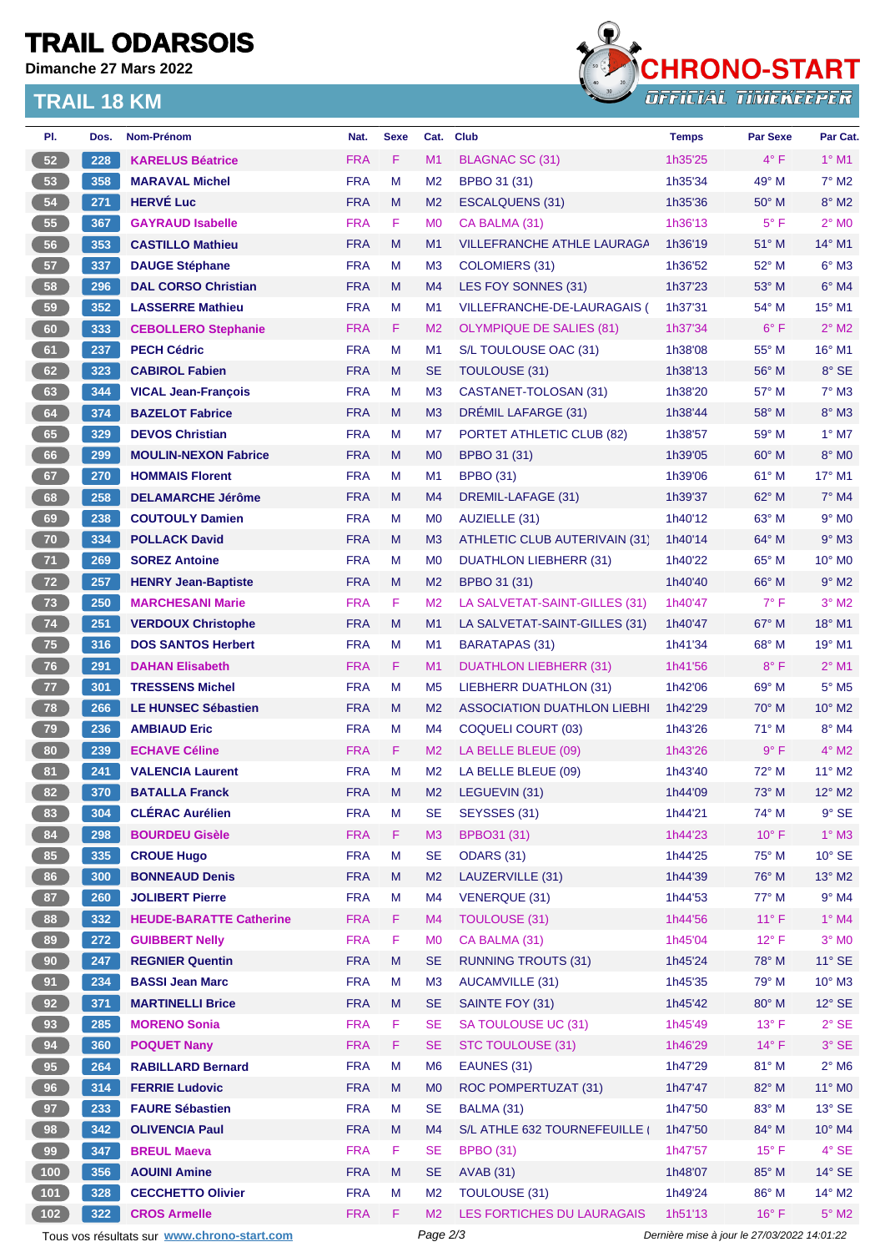# **TRAIL ODARSOIS**

**Dimanche 27 Mars 2022**

#### **TRAIL 18 KM**



| PI.             | Dos.       | <b>Nom-Prénom</b>                           | Nat.       | <b>Sexe</b>                                 | Cat.           | <b>Club</b>                        | <b>Temps</b> | <b>Par Sexe</b> | Par Cat.                   |
|-----------------|------------|---------------------------------------------|------------|---------------------------------------------|----------------|------------------------------------|--------------|-----------------|----------------------------|
| 52              | 228        | <b>KARELUS Béatrice</b>                     | <b>FRA</b> | F                                           | M1             | <b>BLAGNAC SC (31)</b>             | 1h35'25      | $4^{\circ}$ F   | $1°$ M1                    |
| 53              | 358        | <b>MARAVAL Michel</b>                       | <b>FRA</b> | M                                           | M <sub>2</sub> | BPBO 31 (31)                       | 1h35'34      | 49° M           | $7^\circ$ M2               |
| 54              | 271        | <b>HERVÉ Luc</b>                            | <b>FRA</b> | M                                           | M <sub>2</sub> | <b>ESCALQUENS (31)</b>             | 1h35'36      | $50^\circ$ M    | $8^\circ$ M2               |
| 55              | 367        | <b>GAYRAUD Isabelle</b>                     | <b>FRA</b> | F                                           | M <sub>0</sub> | CA BALMA (31)                      | 1h36'13      | $5^{\circ}$ F   | $2^{\circ}$ MO             |
| 56              | 353        | <b>CASTILLO Mathieu</b>                     | <b>FRA</b> | M                                           | M <sub>1</sub> | <b>VILLEFRANCHE ATHLE LAURAGA</b>  | 1h36'19      | 51° M           | 14° M1                     |
| 57              | 337        | <b>DAUGE Stéphane</b>                       | <b>FRA</b> | М                                           | M <sub>3</sub> | COLOMIERS (31)                     | 1h36'52      | 52° M           | $6^\circ$ M3               |
| 58              | 296        | <b>DAL CORSO Christian</b>                  | <b>FRA</b> | M                                           | M <sub>4</sub> | LES FOY SONNES (31)                | 1h37'23      | 53° M           | $6°$ M4                    |
| 59              | 352        | <b>LASSERRE Mathieu</b>                     | <b>FRA</b> | М                                           | M <sub>1</sub> | VILLEFRANCHE-DE-LAURAGAIS (        | 1h37'31      | 54° M           | $15^{\circ}$ M1            |
| 60              | 333        | <b>CEBOLLERO Stephanie</b>                  | <b>FRA</b> | F                                           | M <sub>2</sub> | <b>OLYMPIQUE DE SALIES (81)</b>    | 1h37'34      | $6^{\circ}$ F   | $2^{\circ}$ M2             |
| 61              | 237        | <b>PECH Cédric</b>                          | <b>FRA</b> | M                                           | M <sub>1</sub> | S/L TOULOUSE OAC (31)              | 1h38'08      | 55° M           | 16° M1                     |
| 62              | 323        | <b>CABIROL Fabien</b>                       | <b>FRA</b> | M                                           | <b>SE</b>      | TOULOUSE (31)                      | 1h38'13      | $56^{\circ}$ M  | 8° SE                      |
| 63              | 344        | <b>VICAL Jean-François</b>                  | <b>FRA</b> | М                                           | M <sub>3</sub> | CASTANET-TOLOSAN (31)              | 1h38'20      | 57° M           | $7^\circ$ M3               |
| 64              | 374        | <b>BAZELOT Fabrice</b>                      | <b>FRA</b> | M                                           | M <sub>3</sub> | DRÉMIL LAFARGE (31)                | 1h38'44      | $58^\circ$ M    | $8^\circ$ M3               |
| 65              | 329        | <b>DEVOS Christian</b>                      | <b>FRA</b> | М                                           | M7             | PORTET ATHLETIC CLUB (82)          | 1h38'57      | $59^{\circ}$ M  | $1^\circ$ M7               |
| 66              | 299        | <b>MOULIN-NEXON Fabrice</b>                 | <b>FRA</b> | M                                           | M <sub>0</sub> | BPBO 31 (31)                       | 1h39'05      | $60^{\circ}$ M  | $8^\circ$ MO               |
| 67              | 270        | <b>HOMMAIS Florent</b>                      | <b>FRA</b> | M                                           | M <sub>1</sub> | <b>BPBO (31)</b>                   | 1h39'06      | 61° M           | $17^{\circ}$ M1            |
| 68              | 258        | <b>DELAMARCHE Jérôme</b>                    | <b>FRA</b> | M                                           | M4             | DREMIL-LAFAGE (31)                 | 1h39'37      | $62^\circ$ M    | $7°$ M4                    |
| 69              | 238        | <b>COUTOULY Damien</b>                      | <b>FRA</b> | М                                           | M <sub>0</sub> | AUZIELLE (31)                      | 1h40'12      | 63° M           | $9°$ MO                    |
| 70              | 334        | <b>POLLACK David</b>                        | <b>FRA</b> | M                                           | M3             | ATHLETIC CLUB AUTERIVAIN (31)      | 1h40'14      | $64^{\circ}$ M  | $9^\circ$ M3               |
| $71$            | 269        | <b>SOREZ Antoine</b>                        | <b>FRA</b> | М                                           | M <sub>0</sub> | DUATHLON LIEBHERR (31)             | 1h40'22      | $65^{\circ}$ M  | $10^{\circ}$ MO            |
| 72              | 257        | <b>HENRY Jean-Baptiste</b>                  | <b>FRA</b> | M                                           | M <sub>2</sub> | BPBO 31 (31)                       | 1h40'40      | 66° M           | $9°$ M2                    |
| 73              | 250        | <b>MARCHESANI Marie</b>                     | <b>FRA</b> | F                                           | M <sub>2</sub> | LA SALVETAT-SAINT-GILLES (31)      | 1h40'47      | $7^\circ$ F     | $3°$ M2                    |
| 74              | 251        | <b>VERDOUX Christophe</b>                   | <b>FRA</b> | M                                           | M1             | LA SALVETAT-SAINT-GILLES (31)      | 1h40'47      | 67° M           | 18° M1                     |
| 75              | 316        | <b>DOS SANTOS Herbert</b>                   | <b>FRA</b> | М                                           | M <sub>1</sub> | <b>BARATAPAS (31)</b>              | 1h41'34      | 68° M           | 19° M1                     |
|                 |            |                                             | <b>FRA</b> | F.                                          | M1             |                                    |              | $8^{\circ}$ F   | $2^{\circ}$ M1             |
| 76              | 291        | <b>DAHAN Elisabeth</b>                      | <b>FRA</b> |                                             |                | DUATHLON LIEBHERR (31)             | 1h41'56      |                 | $5^\circ$ M5               |
| 77              | 301        | <b>TRESSENS Michel</b>                      | <b>FRA</b> | М<br>M                                      | M <sub>5</sub> | LIEBHERR DUATHLON (31)             | 1h42'06      | $69^\circ$ M    | 10° M2                     |
| 78              | 266<br>236 | <b>LE HUNSEC Sébastien</b>                  | <b>FRA</b> |                                             | M <sub>2</sub> | <b>ASSOCIATION DUATHLON LIEBHI</b> | 1h42'29      | $70^\circ$ M    | $8^\circ$ M4               |
| 79              |            | <b>AMBIAUD Eric</b>                         |            | М                                           | M4             | <b>COQUELI COURT (03)</b>          | 1h43'26      | $71^\circ$ M    |                            |
| 80              | 239        | <b>ECHAVE Céline</b>                        | <b>FRA</b> | F.                                          | M <sub>2</sub> | LA BELLE BLEUE (09)                | 1h43'26      | 9° F            | $4^\circ$ M2               |
| 81              | 241        | <b>VALENCIA Laurent</b>                     | <b>FRA</b> | M                                           | M <sub>2</sub> | LA BELLE BLEUE (09)                | 1h43'40      | 72° M           | 11° M2                     |
| 82              | 370        | <b>BATALLA Franck</b>                       | <b>FRA</b> | М                                           | M <sub>2</sub> | LEGUEVIN (31)                      | 1h44'09      | $73^\circ$ M    | $12^{\circ}$ M2            |
| 83              | 304        | <b>CLÉRAC Aurélien</b>                      | <b>FRA</b> | M                                           | <b>SE</b>      | SEYSSES (31)                       | 1h44'21      | 74° M           | $9°$ SE                    |
| 84              | 298        | <b>BOURDEU Gisèle</b>                       | <b>FRA</b> | F.                                          | M3             | <b>BPBO31 (31)</b>                 | 1h44'23      | $10^{\circ}$ F  | $1^\circ$ M3               |
| 85              | 335        | <b>CROUE Hugo</b>                           | <b>FRA</b> | M                                           | <b>SE</b>      | <b>ODARS (31)</b>                  | 1h44'25      | 75° M           | $10^{\circ}$ SE            |
| 86              | 300        | <b>BONNEAUD Denis</b>                       | <b>FRA</b> | M                                           | M <sub>2</sub> | LAUZERVILLE (31)                   | 1h44'39      | 76° M           | 13° M2                     |
| 87              | 260        | <b>JOLIBERT Pierre</b>                      | <b>FRA</b> | М                                           | M4             | <b>VENERQUE (31)</b>               | 1h44'53      | 77° M           | $9°$ M4                    |
| 88              | 332        | <b>HEUDE-BARATTE Catherine</b>              | <b>FRA</b> | F.                                          | M <sub>4</sub> | <b>TOULOUSE (31)</b>               | 1h44'56      | $11^{\circ}$ F  | $1^\circ$ M4               |
| 89              | 272        | <b>GUIBBERT Nelly</b>                       | <b>FRA</b> | F                                           | M <sub>0</sub> | CA BALMA (31)                      | 1h45'04      | $12^{\circ}$ F  | $3^\circ$ MO               |
| 90 <sub>o</sub> | 247        | <b>REGNIER Quentin</b>                      | <b>FRA</b> | M                                           | <b>SE</b>      | <b>RUNNING TROUTS (31)</b>         | 1h45'24      | 78° M           | $11^\circ$ SE              |
| 91              | 234        | <b>BASSI Jean Marc</b>                      | <b>FRA</b> | M                                           | M <sub>3</sub> | <b>AUCAMVILLE (31)</b>             | 1h45'35      | 79° M           | $10^{\circ}$ M3            |
| 92              | 371        | <b>MARTINELLI Brice</b>                     | <b>FRA</b> | M                                           | <b>SE</b>      | SAINTE FOY (31)                    | 1h45'42      | 80° M           | $12^{\circ}$ SE            |
| 93              | 285        | <b>MORENO Sonia</b>                         | <b>FRA</b> | F                                           | <b>SE</b>      | SA TOULOUSE UC (31)                | 1h45'49      | $13^{\circ}$ F  | $2°$ SE                    |
| 94              | 360        | <b>POQUET Nany</b>                          | <b>FRA</b> | F                                           | <b>SE</b>      | STC TOULOUSE (31)                  | 1h46'29      | $14^{\circ}$ F  | $3°$ SE                    |
| 95              | 264        | <b>RABILLARD Bernard</b>                    | <b>FRA</b> | M                                           | M <sub>6</sub> | EAUNES (31)                        | 1h47'29      | 81° M           | $2^{\circ}$ M <sub>6</sub> |
| 96              | 314        | <b>FERRIE Ludovic</b>                       | <b>FRA</b> | M                                           | M <sub>0</sub> | ROC POMPERTUZAT (31)               | 1h47'47      | 82° M           | 11° MO                     |
| 97              | 233        | <b>FAURE Sébastien</b>                      | <b>FRA</b> | M                                           | <b>SE</b>      | BALMA (31)                         | 1h47'50      | 83° M           | $13^\circ$ SE              |
| 98              | 342        | <b>OLIVENCIA Paul</b>                       | <b>FRA</b> | M                                           | M4             | S/L ATHLE 632 TOURNEFEUILLE        | 1h47'50      | 84° M           | 10° M4                     |
| 99              | 347        | <b>BREUL Maeva</b>                          | <b>FRA</b> | F                                           | <b>SE</b>      | <b>BPBO (31)</b>                   | 1h47'57      | $15^{\circ}$ F  | $4^\circ$ SE               |
| 100             | 356        | <b>AOUINI Amine</b>                         | <b>FRA</b> | M                                           | <b>SE</b>      | <b>AVAB (31)</b>                   | 1h48'07      | 85° M           | $14^\circ$ SE              |
| $101$           | 328        | <b>CECCHETTO Olivier</b>                    | <b>FRA</b> | M                                           | M <sub>2</sub> | <b>TOULOUSE (31)</b>               | 1h49'24      | 86° M           | 14° M2                     |
| 102             | 322        | <b>CROS Armelle</b>                         | <b>FRA</b> | F.                                          | M <sub>2</sub> | LES FORTICHES DU LAURAGAIS         | 1h51'13      | $16^{\circ}$ F  | $5^\circ$ M2               |
|                 |            | Tous vos résultats sur www.chrono-start.com | Page 2/3   | Dernière mise à jour le 27/03/2022 14:01:22 |                |                                    |              |                 |                            |